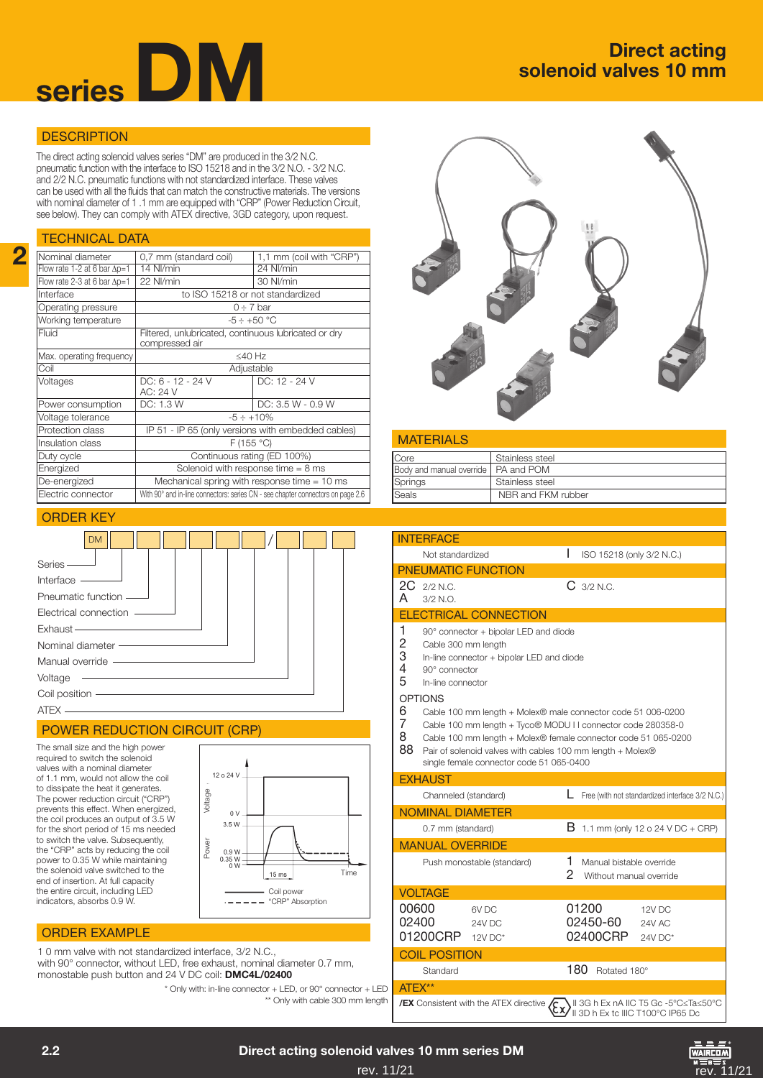

# solenoid valves 10 mm

# **DESCRIPTION**

The direct acting solenoid valves series "DM" are produced in the 3/2 N.C. pneumatic function with the interface to ISO 15218 and in the 3/2 N.O. - 3/2 N.C. and 2/2 N.C. pneumatic functions with not standardized interface. These valves can be used with all the fluids that can match the constructive materials. The versions with nominal diameter of 1 .1 mm are equipped with "CRP" (Power Reduction Circuit, see below). They can comply with ATEX directive, 3GD category, upon request.

### TECHNICAL DATA

2

| Nominal diameter                    | 1,1 mm (coil with "CRP")<br>0,7 mm (standard coil)                              |                     |  |
|-------------------------------------|---------------------------------------------------------------------------------|---------------------|--|
| Flow rate 1-2 at 6 bar $\Delta p=1$ | 14 NI/min                                                                       | 24 NI/min           |  |
| Flow rate 2-3 at 6 bar $\Delta p=1$ | 22 NI/min                                                                       | 30 NI/min           |  |
| Interface                           | to ISO 15218 or not standardized                                                |                     |  |
| Operating pressure                  | $0 \div 7$ bar                                                                  |                     |  |
| Working temperature                 | $-5 \div +50$ °C                                                                |                     |  |
| Fluid                               | Filtered, unlubricated, continuous lubricated or dry<br>compressed air          |                     |  |
| Max. operating frequency            | ≤40 $Hz$                                                                        |                     |  |
| Coil                                | Adjustable                                                                      |                     |  |
| Voltages                            | DC: 6 - 12 - 24 V<br>AC: 24 V                                                   | DC: 12 - 24 V       |  |
| Power consumption                   | DC: 1.3 W                                                                       | $DC: 3.5 W - 0.9 W$ |  |
| Voltage tolerance                   | $-5 \div +10\%$                                                                 |                     |  |
| Protection class                    | IP 51 - IP 65 (only versions with embedded cables)                              |                     |  |
| Insulation class                    | F(155 °C)                                                                       |                     |  |
| Duty cycle                          | Continuous rating (ED 100%)                                                     |                     |  |
| Energized                           | Solenoid with response time $= 8$ ms                                            |                     |  |
| De-energized                        | Mechanical spring with response time $= 10$ ms                                  |                     |  |
| Electric connector                  | With 90° and in-line connectors: series CN - see chapter connectors on page 2.6 |                     |  |
|                                     |                                                                                 |                     |  |

# ORDER KEY



### POWER REDUCTION CIRCUIT (CRP)

The small size and the high power required to switch the solenoid valves with a nominal diameter of 1.1 mm, would not allow the coil to dissipate the heat it generates. The power reduction circuit ("CRP") prevents this effect. When energized, the coil produces an output of 3.5 W for the short period of 15 ms needed to switch the valve. Subsequently, the "CRP" acts by reducing the coil power to 0.35 W while maintaining the solenoid valve switched to the end of insertion. At full capacity the entire circuit, including LED indicators, absorbs 0.9 W.



# ORDER EXAMPLE

1 0 mm valve with not standardized interface, 3/2 N.C., with 90° connector, without LED, free exhaust, nominal diameter 0.7 mm, monostable push button and 24 V DC coil: DMC4L/02400

> \* Only with: in-line connector + LED, or 90° connector + LED \*\* Only with cable 300 mm length

| <b>MATERIALS</b>                      |                    |
|---------------------------------------|--------------------|
| Core                                  | Stainless steel    |
| Body and manual override   PA and POM |                    |
| Springs                               | Stainless steel    |
| $S$ eals                              | NBR and FKM rubber |

|                              | <b>INTFRFACF</b>                                          |                                                                                                                                                                                                                                                                                                          |        |                                                     |                                                 |  |
|------------------------------|-----------------------------------------------------------|----------------------------------------------------------------------------------------------------------------------------------------------------------------------------------------------------------------------------------------------------------------------------------------------------------|--------|-----------------------------------------------------|-------------------------------------------------|--|
|                              | Not standardized                                          |                                                                                                                                                                                                                                                                                                          | L      | ISO 15218 (only 3/2 N.C.)                           |                                                 |  |
|                              |                                                           | <b>PNEUMATIC FUNCTION</b>                                                                                                                                                                                                                                                                                |        |                                                     |                                                 |  |
| 2C<br>A                      | $2/2$ N.C.<br>$3/2$ N.O.                                  |                                                                                                                                                                                                                                                                                                          |        | $C_{3/2 N.C.}$                                      |                                                 |  |
|                              |                                                           | <b>ELECTRICAL CONNECTION</b>                                                                                                                                                                                                                                                                             |        |                                                     |                                                 |  |
| 1<br>$\frac{2}{3}$<br>4<br>5 | Cable 300 mm length<br>90° connector<br>In-line connector | 90° connector + bipolar LED and diode<br>In-line connector + bipolar LED and diode                                                                                                                                                                                                                       |        |                                                     |                                                 |  |
| 6<br>7<br>8<br>88            | <b>OPTIONS</b>                                            | Cable 100 mm length + Molex® male connector code 51 006-0200<br>Cable 100 mm length + Tyco® MODU I I connector code 280358-0<br>Cable 100 mm length + Molex® female connector code 51 065-0200<br>Pair of solenoid valves with cables 100 mm length + Molex®<br>single female connector code 51 065-0400 |        |                                                     |                                                 |  |
|                              | <b>EXHAUST</b>                                            |                                                                                                                                                                                                                                                                                                          |        |                                                     |                                                 |  |
|                              | Channeled (standard)                                      |                                                                                                                                                                                                                                                                                                          | L      |                                                     | Free (with not standardized interface 3/2 N.C.) |  |
|                              | <b>NOMINAL DIAMETER</b>                                   |                                                                                                                                                                                                                                                                                                          |        |                                                     |                                                 |  |
|                              | 0.7 mm (standard)                                         |                                                                                                                                                                                                                                                                                                          | В      | 1.1 mm (only 12 o 24 V DC + CRP)                    |                                                 |  |
|                              | <b>MANUAL OVERRIDE</b>                                    |                                                                                                                                                                                                                                                                                                          |        |                                                     |                                                 |  |
|                              |                                                           | Push monostable (standard)                                                                                                                                                                                                                                                                               | 1<br>2 | Manual bistable override<br>Without manual override |                                                 |  |
|                              | <b>VOLTAGE</b>                                            |                                                                                                                                                                                                                                                                                                          |        |                                                     |                                                 |  |
| 00600<br>02400               | 01200CRP                                                  | 6V <sub>DC</sub><br>24V DC<br>$12V$ DC*                                                                                                                                                                                                                                                                  |        | 01200<br>02450-60<br>02400CRP                       | 12V DC<br><b>24V AC</b><br>24V DC*              |  |
|                              | <b>COIL POSITION</b>                                      |                                                                                                                                                                                                                                                                                                          |        |                                                     |                                                 |  |
|                              | Standard                                                  |                                                                                                                                                                                                                                                                                                          |        | 180<br>Rotated 180°                                 |                                                 |  |
| ATFX**                       |                                                           |                                                                                                                                                                                                                                                                                                          |        |                                                     |                                                 |  |

| **/EX** Consistent with the ATEX directive  $\overline{R}$ , II 3G h Ex nA IIC T5 Gc -5°C≤Ta≤50°C  $\mathbb{C}$  II 3D h Ex tc IIIC T100°C IP65 Dc

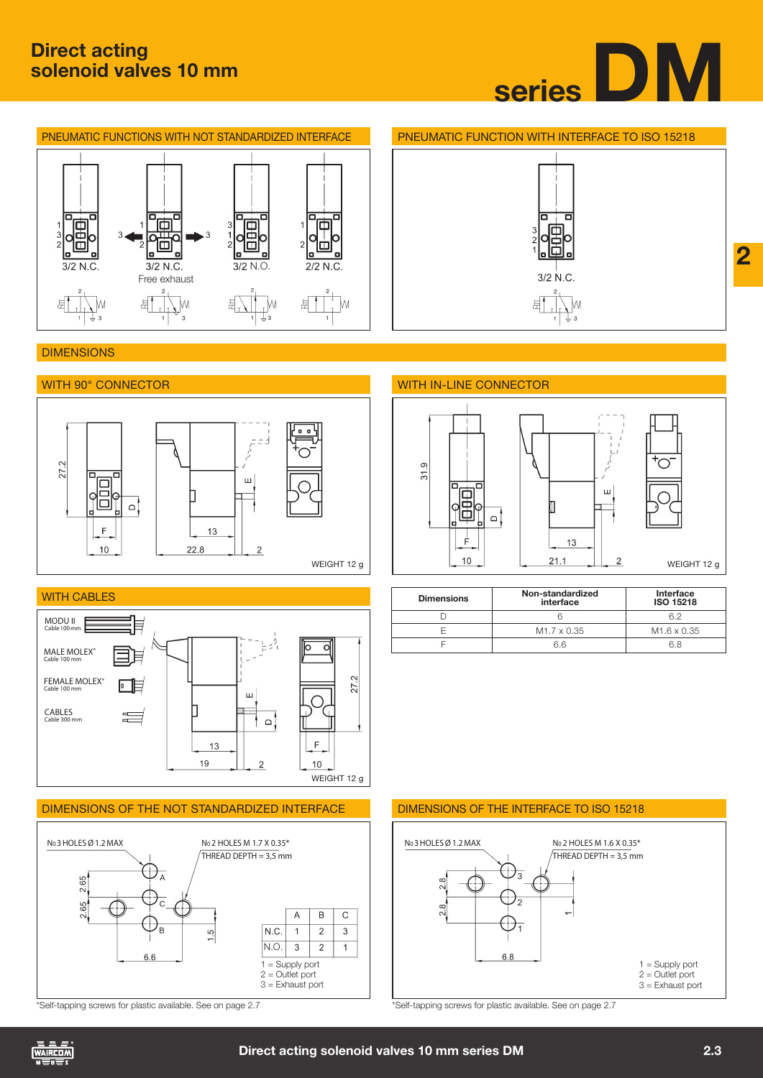£

'М





片

### **DIMENSIONS**



뷰





ш

2

| <b>Dimensions</b> | Non-standardized<br>interface | Interface<br>ISO 15218  |
|-------------------|-------------------------------|-------------------------|
|                   |                               |                         |
|                   | M <sub>1.7</sub> x 0.35       | M <sub>1.6</sub> x 0.35 |
|                   | 6 6                           |                         |



\*Self-tapping screws for plastic available. See on page 2.7 \*Self-tapping screws for plastic available. See on page 2.7



DIMENSIONS OF THE NOT STANDARDIZED INTERFACE DIMENSIONS OF THE INTERFACE TO ISO 15218





WEIGHT 12 g